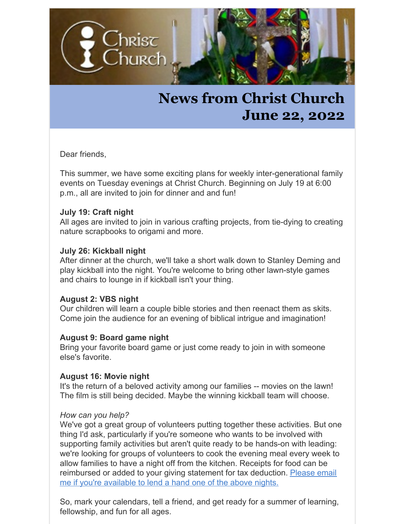

## **News from Christ Church June 22, 2022**

Dear friends,

This summer, we have some exciting plans for weekly inter-generational family events on Tuesday evenings at Christ Church. Beginning on July 19 at 6:00 p.m., all are invited to join for dinner and and fun!

#### **July 19: Craft night**

All ages are invited to join in various crafting projects, from tie-dying to creating nature scrapbooks to origami and more.

#### **July 26: Kickball night**

After dinner at the church, we'll take a short walk down to Stanley Deming and play kickball into the night. You're welcome to bring other lawn-style games and chairs to lounge in if kickball isn't your thing.

#### **August 2: VBS night**

Our children will learn a couple bible stories and then reenact them as skits. Come join the audience for an evening of biblical intrigue and imagination!

#### **August 9: Board game night**

Bring your favorite board game or just come ready to join in with someone else's favorite.

#### **August 16: Movie night**

It's the return of a beloved activity among our families -- movies on the lawn! The film is still being decided. Maybe the winning kickball team will choose.

#### *How can you help?*

We've got a great group of volunteers putting together these activities. But one thing I'd ask, particularly if you're someone who wants to be involved with supporting family activities but aren't quite ready to be hands-on with leading: we're looking for groups of volunteers to cook the evening meal every week to allow families to have a night off from the kitchen. Receipts for food can be [reimbursed](mailto:rector@christchurch.org) or added to your giving statement for tax deduction. Please email me if you're available to lend a hand one of the above nights.

So, mark your calendars, tell a friend, and get ready for a summer of learning, fellowship, and fun for all ages.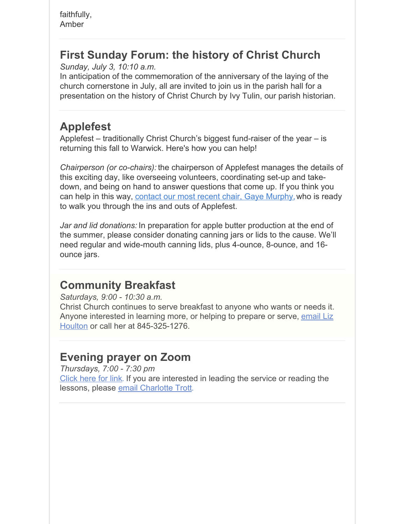faithfully, Amber

## **First Sunday Forum: the history of Christ Church**

*Sunday, July 3, 10:10 a.m.*

In anticipation of the commemoration of the anniversary of the laying of the church cornerstone in July, all are invited to join us in the parish hall for a presentation on the history of Christ Church by Ivy Tulin, our parish historian.

## **Applefest**

Applefest – traditionally Christ Church's biggest fund-raiser of the year – is returning this fall to Warwick. Here's how you can help!

*Chairperson (or co-chairs):* the chairperson of Applefest manages the details of this exciting day, like overseeing volunteers, coordinating set-up and takedown, and being on hand to answer questions that come up. If you think you can help in this way, contact our most recent chair, Gaye [Murphy,](mailto:murphyg1@icloud.com)who is ready to walk you through the ins and outs of Applefest.

*Jar and lid donations:* In preparation for apple butter production at the end of the summer, please consider donating canning jars or lids to the cause. We'll need regular and wide-mouth canning lids, plus 4-ounce, 8-ounce, and 16 ounce jars.

### **Community Breakfast**

*Saturdays, 9:00 - 10:30 a.m.*

Christ Church continues to serve breakfast to anyone who wants or needs it. Anyone interested in learning more, or helping to prepare or serve, email Liz Houlton or call her at [845-325-1276.](mailto:eahoulton@gmail.com)

## **Evening prayer on Zoom**

*Thursdays, 7:00 - 7:30 pm* [Click](https://us04web.zoom.us/j/9925278698?pwd=RXUxYTdCYWNuYlRFTk5hWWpER0tJZz09) here for link. If you are interested in leading the service or reading the lessons, please email [Charlotte](mailto:ctrott50@gmail.com) Trott.